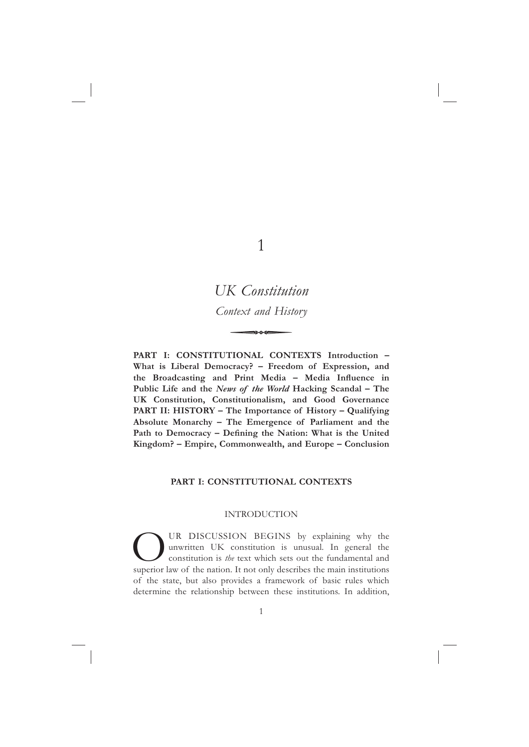1

# *UK Constitution Context and History*

**PART I: CONSTITUTIONAL CONTEXTS Introduction – What is Liberal Democracy? – Freedom of Expression, and**  the Broadcasting and Print Media - Media Influence in **Public Life and the** *News of the World* **Hacking Scandal – The UK Constitution, Constitutionalism, and Good Governance PART II: HISTORY – The Importance of History – Qualifying Absolute Monarchy – The Emergence of Parliament and the**  Path to Democracy - Defining the Nation: What is the United **Kingdom? – Empire, Commonwealth, and Europe – Conclusion**

## **PART I: CONSTITUTIONAL CONTEXTS**

#### INTRODUCTION

**OUR DISCUSSION BEGINS** by explaining why the unwritten UK constitution is unusual. In general the constitution is *the* text which sets out the fundamental and superior law of the nation. It not only describes the main in unwritten UK constitution is unusual. In general the constitution is *the* text which sets out the fundamental and of the state, but also provides a framework of basic rules which determine the relationship between these institutions. In addition,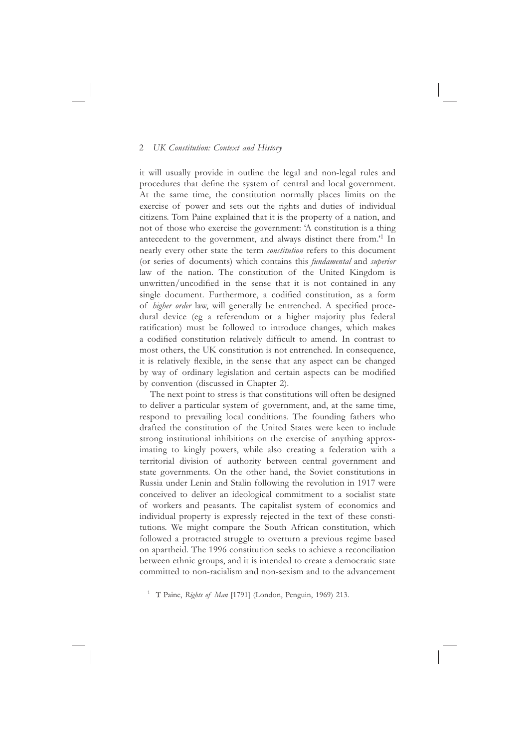it will usually provide in outline the legal and non-legal rules and procedures that define the system of central and local government. At the same time, the constitution normally places limits on the exercise of power and sets out the rights and duties of individual citizens. Tom Paine explained that it is the property of a nation, and not of those who exercise the government: 'A constitution is a thing antecedent to the government, and always distinct there from.'1 In nearly every other state the term *constitution* refers to this document (or series of documents) which contains this *fundamental* and *superior*  law of the nation. The constitution of the United Kingdom is unwritten/uncodified in the sense that it is not contained in any single document. Furthermore, a codified constitution, as a form of *higher order* law, will generally be entrenched. A specified procedural device (eg a referendum or a higher majority plus federal ratification) must be followed to introduce changes, which makes a codified constitution relatively difficult to amend. In contrast to most others, the UK constitution is not entrenched. In consequence, it is relatively flexible, in the sense that any aspect can be changed by way of ordinary legislation and certain aspects can be modified by convention (discussed in Chapter 2).

The next point to stress is that constitutions will often be designed to deliver a particular system of government, and, at the same time, respond to prevailing local conditions. The founding fathers who drafted the constitution of the United States were keen to include strong institutional inhibitions on the exercise of anything approximating to kingly powers, while also creating a federation with a territorial division of authority between central government and state governments. On the other hand, the Soviet constitutions in Russia under Lenin and Stalin following the revolution in 1917 were conceived to deliver an ideological commitment to a socialist state of workers and peasants. The capitalist system of economics and individual property is expressly rejected in the text of these constitutions. We might compare the South African constitution, which followed a protracted struggle to overturn a previous regime based on apartheid. The 1996 constitution seeks to achieve a reconciliation between ethnic groups, and it is intended to create a democratic state committed to non-racialism and non-sexism and to the advancement

<sup>1</sup> T Paine, *Rights of Man* [1791] (London, Penguin, 1969) 213.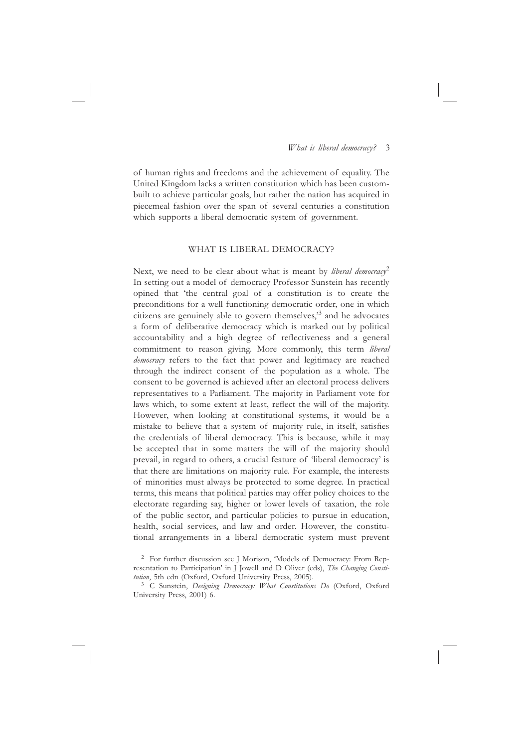of human rights and freedoms and the achievement of equality. The United Kingdom lacks a written constitution which has been custombuilt to achieve particular goals, but rather the nation has acquired in piecemeal fashion over the span of several centuries a constitution which supports a liberal democratic system of government.

### WHAT IS LIBERAL DEMOCRACY?

Next, we need to be clear about what is meant by *liberal democracy*<sup>2</sup> In setting out a model of democracy Professor Sunstein has recently opined that 'the central goal of a constitution is to create the preconditions for a well functioning democratic order, one in which citizens are genuinely able to govern themselves,'3 and he advocates a form of deliberative democracy which is marked out by political accountability and a high degree of reflectiveness and a general commitment to reason giving. More commonly, this term *liberal democracy* refers to the fact that power and legitimacy are reached through the indirect consent of the population as a whole. The consent to be governed is achieved after an electoral process delivers representatives to a Parliament. The majority in Parliament vote for laws which, to some extent at least, reflect the will of the majority. However, when looking at constitutional systems, it would be a mistake to believe that a system of majority rule, in itself, satisfies the credentials of liberal democracy. This is because, while it may be accepted that in some matters the will of the majority should prevail, in regard to others, a crucial feature of 'liberal democracy' is that there are limitations on majority rule. For example, the interests of minorities must always be protected to some degree. In practical terms, this means that political parties may offer policy choices to the electorate regarding say, higher or lower levels of taxation, the role of the public sector, and particular policies to pursue in education, health, social services, and law and order. However, the constitutional arrangements in a liberal democratic system must prevent

<sup>2</sup> For further discussion see J Morison, 'Models of Democracy: From Representation to Participation' in J Jowell and D Oliver (eds), *The Changing Constitution*, 5th edn (Oxford, Oxford University Press, 2005).

<sup>&</sup>lt;sup>3</sup> C Sunstein, *Designing Democracy: What Constitutions Do (Oxford, Oxford* University Press, 2001) 6.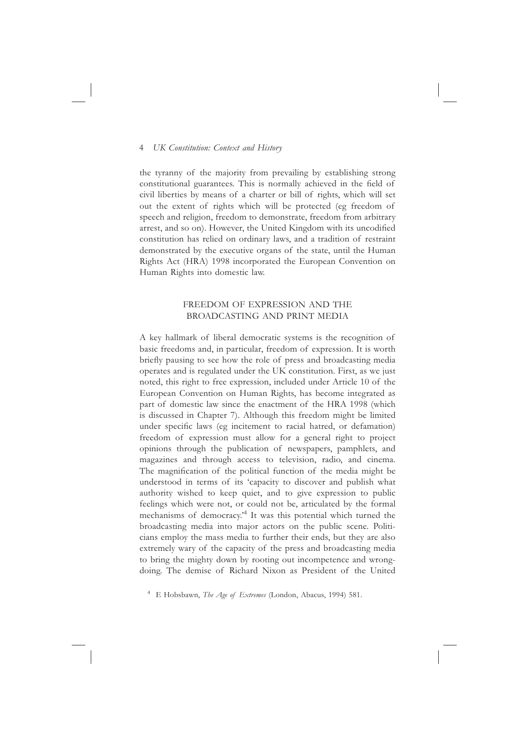the tyranny of the majority from prevailing by establishing strong constitutional guarantees. This is normally achieved in the field of civil liberties by means of a charter or bill of rights, which will set out the extent of rights which will be protected (eg freedom of speech and religion, freedom to demonstrate, freedom from arbitrary arrest, and so on). However, the United Kingdom with its uncodified constitution has relied on ordinary laws, and a tradition of restraint demonstrated by the executive organs of the state, until the Human Rights Act (HRA) 1998 incorporated the European Convention on Human Rights into domestic law.

## FREEDOM OF EXPRESSION AND THE BROADCASTING AND PRINT MEDIA

A key hallmark of liberal democratic systems is the recognition of basic freedoms and, in particular, freedom of expression. It is worth briefly pausing to see how the role of press and broadcasting media operates and is regulated under the UK constitution. First, as we just noted, this right to free expression, included under Article 10 of the European Convention on Human Rights, has become integrated as part of domestic law since the enactment of the HRA 1998 (which is discussed in Chapter 7). Although this freedom might be limited under specific laws (eg incitement to racial hatred, or defamation) freedom of expression must allow for a general right to project opinions through the publication of newspapers, pamphlets, and magazines and through access to television, radio, and cinema. The magnification of the political function of the media might be understood in terms of its 'capacity to discover and publish what authority wished to keep quiet, and to give expression to public feelings which were not, or could not be, articulated by the formal mechanisms of democracy.'4 It was this potential which turned the broadcasting media into major actors on the public scene. Politicians employ the mass media to further their ends, but they are also extremely wary of the capacity of the press and broadcasting media to bring the mighty down by rooting out incompetence and wrongdoing. The demise of Richard Nixon as President of the United

<sup>4</sup> E Hobsbawn, *The Age of Extremes* (London, Abacus, 1994) 581.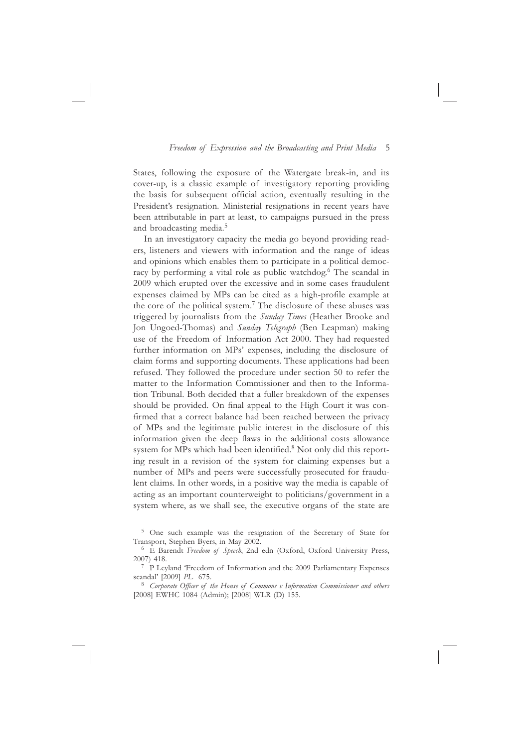States, following the exposure of the Watergate break-in, and its cover-up, is a classic example of investigatory reporting providing the basis for subsequent official action, eventually resulting in the President's resignation. Ministerial resignations in recent years have been attributable in part at least, to campaigns pursued in the press and broadcasting media.<sup>5</sup>

In an investigatory capacity the media go beyond providing readers, listeners and viewers with information and the range of ideas and opinions which enables them to participate in a political democracy by performing a vital role as public watchdog.<sup>6</sup> The scandal in 2009 which erupted over the excessive and in some cases fraudulent expenses claimed by MPs can be cited as a high-profile example at the core of the political system.7 The disclosure of these abuses was triggered by journalists from the *Sunday Times* (Heather Brooke and Jon Ungoed-Thomas) and *Sunday Telegraph* (Ben Leapman) making use of the Freedom of Information Act 2000. They had requested further information on MPs' expenses, including the disclosure of claim forms and supporting documents. These applications had been refused. They followed the procedure under section 50 to refer the matter to the Information Commissioner and then to the Information Tribunal. Both decided that a fuller breakdown of the expenses should be provided. On final appeal to the High Court it was confirmed that a correct balance had been reached between the privacy of MPs and the legitimate public interest in the disclosure of this information given the deep flaws in the additional costs allowance system for MPs which had been identified.<sup>8</sup> Not only did this reporting result in a revision of the system for claiming expenses but a number of MPs and peers were successfully prosecuted for fraudulent claims. In other words, in a positive way the media is capable of acting as an important counterweight to politicians/government in a system where, as we shall see, the executive organs of the state are

5 One such example was the resignation of the Secretary of State for Transport, Stephen Byers, in May 2002. 6 E Barendt *Freedom of Speech*, 2nd edn (Oxford, Oxford University Press,

<sup>8</sup> Corporate Officer of the House of Commons v Information Commissioner and others [2008] EWHC 1084 (Admin); [2008] WLR (D) 155.

<sup>2007) 418.&</sup>lt;br><sup>7</sup> P Leyland 'Freedom of Information and the 2009 Parliamentary Expenses scandal' [2009] *PL* 675.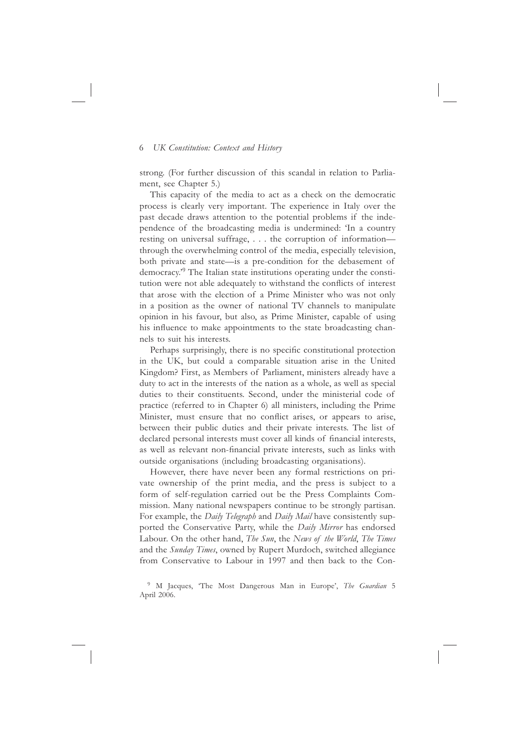strong. (For further discussion of this scandal in relation to Parliament, see Chapter 5.)

This capacity of the media to act as a check on the democratic process is clearly very important. The experience in Italy over the past decade draws attention to the potential problems if the independence of the broadcasting media is undermined: 'In a country resting on universal suffrage, . . . the corruption of information through the overwhelming control of the media, especially television, both private and state—is a pre-condition for the debasement of democracy.'9 The Italian state institutions operating under the constitution were not able adequately to withstand the conflicts of interest that arose with the election of a Prime Minister who was not only in a position as the owner of national TV channels to manipulate opinion in his favour, but also, as Prime Minister, capable of using his influence to make appointments to the state broadcasting channels to suit his interests.

Perhaps surprisingly, there is no specific constitutional protection in the UK, but could a comparable situation arise in the United Kingdom? First, as Members of Parliament, ministers already have a duty to act in the interests of the nation as a whole, as well as special duties to their constituents. Second, under the ministerial code of practice (referred to in Chapter 6) all ministers, including the Prime Minister, must ensure that no conflict arises, or appears to arise, between their public duties and their private interests. The list of declared personal interests must cover all kinds of financial interests, as well as relevant non-financial private interests, such as links with outside organisations (including broadcasting organisations).

However, there have never been any formal restrictions on private ownership of the print media, and the press is subject to a form of self-regulation carried out be the Press Complaints Commission. Many national newspapers continue to be strongly partisan. For example, the *Daily Telegraph* and *Daily Mail* have consistently supported the Conservative Party, while the *Daily Mirror* has endorsed Labour. On the other hand, *The Sun*, the *News of the World*, *The Times* and the *Sunday Times*, owned by Rupert Murdoch, switched allegiance from Conservative to Labour in 1997 and then back to the Con-

<sup>9</sup> M Jacques, 'The Most Dangerous Man in Europe', *The Guardian* 5 April 2006.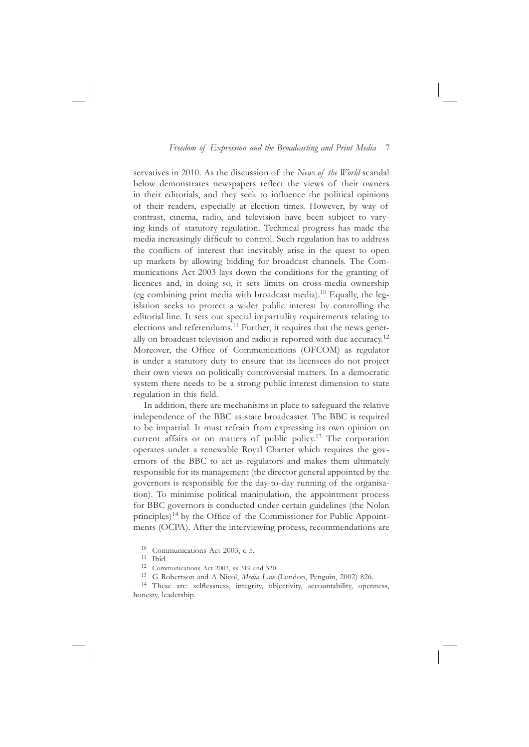servatives in 2010. As the discussion of the *News of the World* scandal below demonstrates newspapers reflect the views of their owners in their editorials, and they seek to influence the political opinions of their readers, especially at election times. However, by way of contrast, cinema, radio, and television have been subject to varying kinds of statutory regulation. Technical progress has made the media increasingly difficult to control. Such regulation has to address the conflicts of interest that inevitably arise in the quest to open up markets by allowing bidding for broadcast channels. The Communications Act 2003 lays down the conditions for the granting of licences and, in doing so, it sets limits on cross-media ownership (eg combining print media with broadcast media).10 Equally, the legislation seeks to protect a wider public interest by controlling the editorial line. It sets out special impartiality requirements relating to elections and referendums.<sup>11</sup> Further, it requires that the news generally on broadcast television and radio is reported with due accuracy.<sup>12</sup> Moreover, the Office of Communications (OFCOM) as regulator is under a statutory duty to ensure that its licensees do not project their own views on politically controversial matters. In a democratic system there needs to be a strong public interest dimension to state regulation in this field.

In addition, there are mechanisms in place to safeguard the relative independence of the BBC as state broadcaster. The BBC is required to be impartial. It must refrain from expressing its own opinion on current affairs or on matters of public policy.<sup>13</sup> The corporation operates under a renewable Royal Charter which requires the governors of the BBC to act as regulators and makes them ultimately responsible for its management (the director general appointed by the governors is responsible for the day-to-day running of the organisation). To minimise political manipulation, the appointment process for BBC governors is conducted under certain guidelines (the Nolan principles)<sup>14</sup> by the Office of the Commissioner for Public Appointments (OCPA). After the interviewing process, recommendations are

<sup>14</sup> These are: selflessness, integrity, objectivity, accountability, openness, honesty, leadership.

<sup>&</sup>lt;sup>10</sup> Communications Act 2003, c 5.<br>
<sup>11</sup> Ibid. <br>
<sup>12</sup> Communications Act 2003, ss 319 and 320.<br>
<sup>13</sup> G Robertson and A Nicol, *Media Law* (London, Penguin, 2002) 826.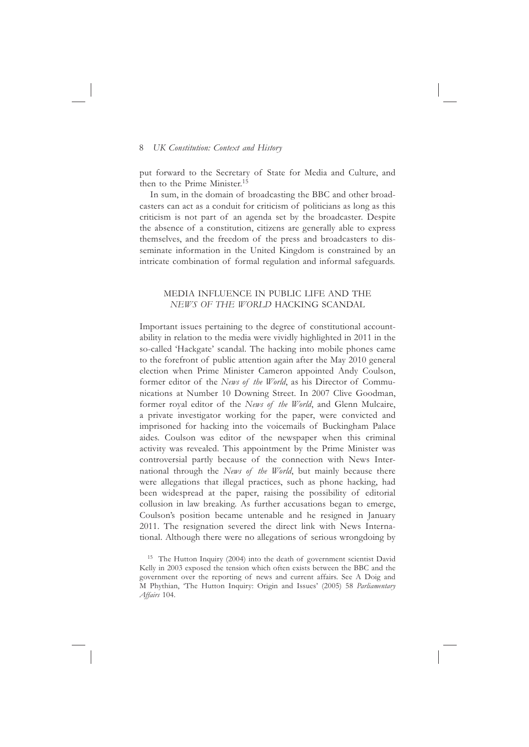put forward to the Secretary of State for Media and Culture, and then to the Prime Minister.<sup>15</sup>

In sum, in the domain of broadcasting the BBC and other broadcasters can act as a conduit for criticism of politicians as long as this criticism is not part of an agenda set by the broadcaster. Despite the absence of a constitution, citizens are generally able to express themselves, and the freedom of the press and broadcasters to disseminate information in the United Kingdom is constrained by an intricate combination of formal regulation and informal safeguards.

## MEDIA INFLUENCE IN PUBLIC LIFE AND THE *NEWS OF THE WORLD* HACKING SCANDAL

Important issues pertaining to the degree of constitutional accountability in relation to the media were vividly highlighted in 2011 in the so-called 'Hackgate' scandal. The hacking into mobile phones came to the forefront of public attention again after the May 2010 general election when Prime Minister Cameron appointed Andy Coulson, former editor of the *News of the World*, as his Director of Communications at Number 10 Downing Street. In 2007 Clive Goodman, former royal editor of the *News of the World*, and Glenn Mulcaire, a private investigator working for the paper, were convicted and imprisoned for hacking into the voicemails of Buckingham Palace aides. Coulson was editor of the newspaper when this criminal activity was revealed. This appointment by the Prime Minister was controversial partly because of the connection with News International through the *News of the World*, but mainly because there were allegations that illegal practices, such as phone hacking, had been widespread at the paper, raising the possibility of editorial collusion in law breaking. As further accusations began to emerge, Coulson's position became untenable and he resigned in January 2011. The resignation severed the direct link with News International. Although there were no allegations of serious wrongdoing by

<sup>&</sup>lt;sup>15</sup> The Hutton Inquiry (2004) into the death of government scientist David Kelly in 2003 exposed the tension which often exists between the BBC and the government over the reporting of news and current affairs. See A Doig and M Phythian, 'The Hutton Inquiry: Origin and Issues' (2005) 58 *Parliamentary Affairs* 104.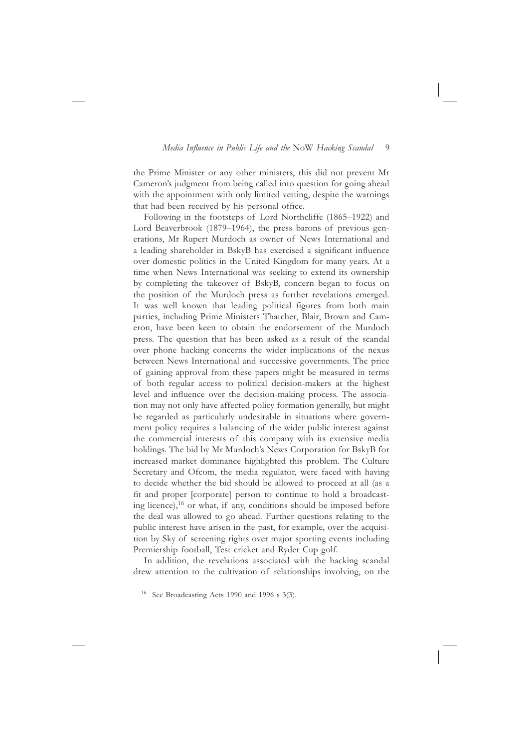the Prime Minister or any other ministers, this did not prevent Mr Cameron's judgment from being called into question for going ahead with the appointment with only limited vetting, despite the warnings that had been received by his personal office.

Following in the footsteps of Lord Northcliffe (1865–1922) and Lord Beaverbrook (1879–1964), the press barons of previous generations, Mr Rupert Murdoch as owner of News International and a leading shareholder in BskyB has exercised a significant influence over domestic politics in the United Kingdom for many years. At a time when News International was seeking to extend its ownership by completing the takeover of BskyB, concern began to focus on the position of the Murdoch press as further revelations emerged. It was well known that leading political figures from both main parties, including Prime Ministers Thatcher, Blair, Brown and Cameron, have been keen to obtain the endorsement of the Murdoch press. The question that has been asked as a result of the scandal over phone hacking concerns the wider implications of the nexus between News International and successive governments. The price of gaining approval from these papers might be measured in terms of both regular access to political decision-makers at the highest level and influence over the decision-making process. The association may not only have affected policy formation generally, but might be regarded as particularly undesirable in situations where government policy requires a balancing of the wider public interest against the commercial interests of this company with its extensive media holdings. The bid by Mr Murdoch's News Corporation for BskyB for increased market dominance highlighted this problem. The Culture Secretary and Ofcom, the media regulator, were faced with having to decide whether the bid should be allowed to proceed at all (as a fit and proper [corporate] person to continue to hold a broadcasting licence), $16$  or what, if any, conditions should be imposed before the deal was allowed to go ahead. Further questions relating to the public interest have arisen in the past, for example, over the acquisition by Sky of screening rights over major sporting events including Premiership football, Test cricket and Ryder Cup golf.

In addition, the revelations associated with the hacking scandal drew attention to the cultivation of relationships involving, on the

<sup>16</sup> See Broadcasting Acts 1990 and 1996 s 3(3).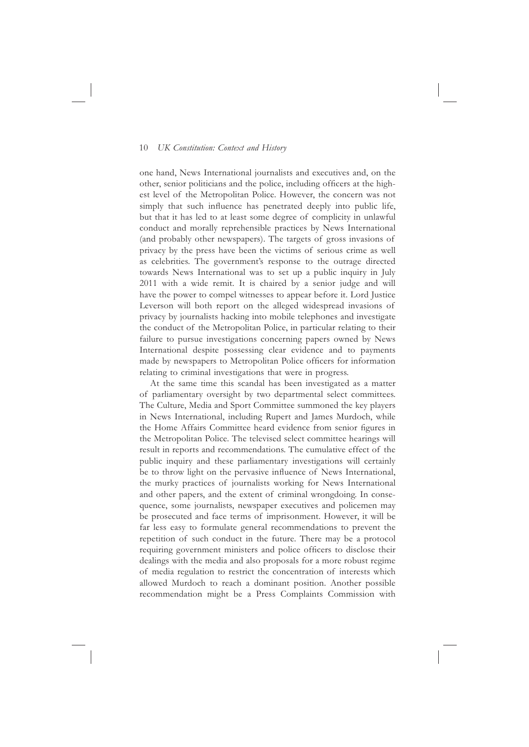one hand, News International journalists and executives and, on the other, senior politicians and the police, including officers at the highest level of the Metropolitan Police. However, the concern was not simply that such influence has penetrated deeply into public life, but that it has led to at least some degree of complicity in unlawful conduct and morally reprehensible practices by News International (and probably other newspapers). The targets of gross invasions of privacy by the press have been the victims of serious crime as well as celebrities. The government's response to the outrage directed towards News International was to set up a public inquiry in July 2011 with a wide remit. It is chaired by a senior judge and will have the power to compel witnesses to appear before it. Lord Justice Leverson will both report on the alleged widespread invasions of privacy by journalists hacking into mobile telephones and investigate the conduct of the Metropolitan Police, in particular relating to their failure to pursue investigations concerning papers owned by News International despite possessing clear evidence and to payments made by newspapers to Metropolitan Police officers for information relating to criminal investigations that were in progress.

At the same time this scandal has been investigated as a matter of parliamentary oversight by two departmental select committees. The Culture, Media and Sport Committee summoned the key players in News International, including Rupert and James Murdoch, while the Home Affairs Committee heard evidence from senior figures in the Metropolitan Police. The televised select committee hearings will result in reports and recommendations. The cumulative effect of the public inquiry and these parliamentary investigations will certainly be to throw light on the pervasive influence of News International, the murky practices of journalists working for News International and other papers, and the extent of criminal wrongdoing. In consequence, some journalists, newspaper executives and policemen may be prosecuted and face terms of imprisonment. However, it will be far less easy to formulate general recommendations to prevent the repetition of such conduct in the future. There may be a protocol requiring government ministers and police officers to disclose their dealings with the media and also proposals for a more robust regime of media regulation to restrict the concentration of interests which allowed Murdoch to reach a dominant position. Another possible recommendation might be a Press Complaints Commission with